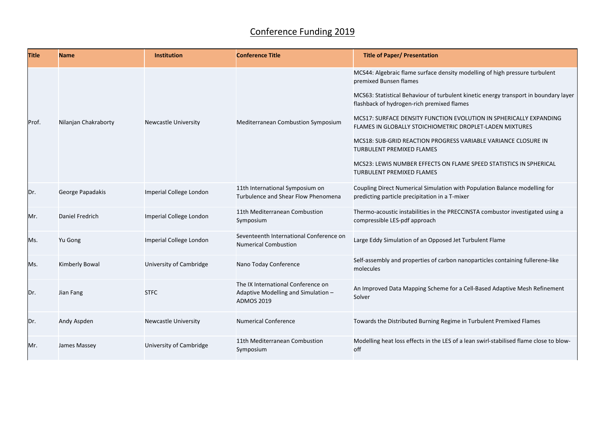## Conference Funding 2019

| <b>Title</b> | <b>Name</b>           | <b>Institution</b>          | <b>Conference Title</b>                                                                        | <b>Title of Paper/ Presentation</b>                                                                                                                                                                                                                                                                                                                                                                                                                                                                                                                                                           |
|--------------|-----------------------|-----------------------------|------------------------------------------------------------------------------------------------|-----------------------------------------------------------------------------------------------------------------------------------------------------------------------------------------------------------------------------------------------------------------------------------------------------------------------------------------------------------------------------------------------------------------------------------------------------------------------------------------------------------------------------------------------------------------------------------------------|
| Prof.        | Nilanjan Chakraborty  | <b>Newcastle University</b> | Mediterranean Combustion Symposium                                                             | MCS44: Algebraic flame surface density modelling of high pressure turbulent<br>premixed Bunsen flames<br>MCS63: Statistical Behaviour of turbulent kinetic energy transport in boundary layer<br>flashback of hydrogen-rich premixed flames<br>MCS17: SURFACE DENSITY FUNCTION EVOLUTION IN SPHERICALLY EXPANDING<br>FLAMES IN GLOBALLY STOICHIOMETRIC DROPLET-LADEN MIXTURES<br>MCS18: SUB-GRID REACTION PROGRESS VARIABLE VARIANCE CLOSURE IN<br><b>TURBULENT PREMIXED FLAMES</b><br>MCS23: LEWIS NUMBER EFFECTS ON FLAME SPEED STATISTICS IN SPHERICAL<br><b>TURBULENT PREMIXED FLAMES</b> |
| IDr.         | George Papadakis      | Imperial College London     | 11th International Symposium on<br>Turbulence and Shear Flow Phenomena                         | Coupling Direct Numerical Simulation with Population Balance modelling for<br>predicting particle precipitation in a T-mixer                                                                                                                                                                                                                                                                                                                                                                                                                                                                  |
| Mr.          | Daniel Fredrich       | Imperial College London     | 11th Mediterranean Combustion<br>Symposium                                                     | Thermo-acoustic instabilities in the PRECCINSTA combustor investigated using a<br>compressible LES-pdf approach                                                                                                                                                                                                                                                                                                                                                                                                                                                                               |
| Ms.          | Yu Gong               | Imperial College London     | Seventeenth International Conference on<br><b>Numerical Combustion</b>                         | Large Eddy Simulation of an Opposed Jet Turbulent Flame                                                                                                                                                                                                                                                                                                                                                                                                                                                                                                                                       |
| Ms.          | <b>Kimberly Bowal</b> | University of Cambridge     | Nano Today Conference                                                                          | Self-assembly and properties of carbon nanoparticles containing fullerene-like<br>molecules                                                                                                                                                                                                                                                                                                                                                                                                                                                                                                   |
| IDr.         | Jian Fang             | <b>STFC</b>                 | The IX International Conference on<br>Adaptive Modelling and Simulation -<br><b>ADMOS 2019</b> | An Improved Data Mapping Scheme for a Cell-Based Adaptive Mesh Refinement<br>Solver                                                                                                                                                                                                                                                                                                                                                                                                                                                                                                           |
| IDr.         | Andy Aspden           | <b>Newcastle University</b> | <b>Numerical Conference</b>                                                                    | Towards the Distributed Burning Regime in Turbulent Premixed Flames                                                                                                                                                                                                                                                                                                                                                                                                                                                                                                                           |
| Mr.          | James Massey          | University of Cambridge     | 11th Mediterranean Combustion<br>Symposium                                                     | Modelling heat loss effects in the LES of a lean swirl-stabilised flame close to blow-<br>off                                                                                                                                                                                                                                                                                                                                                                                                                                                                                                 |